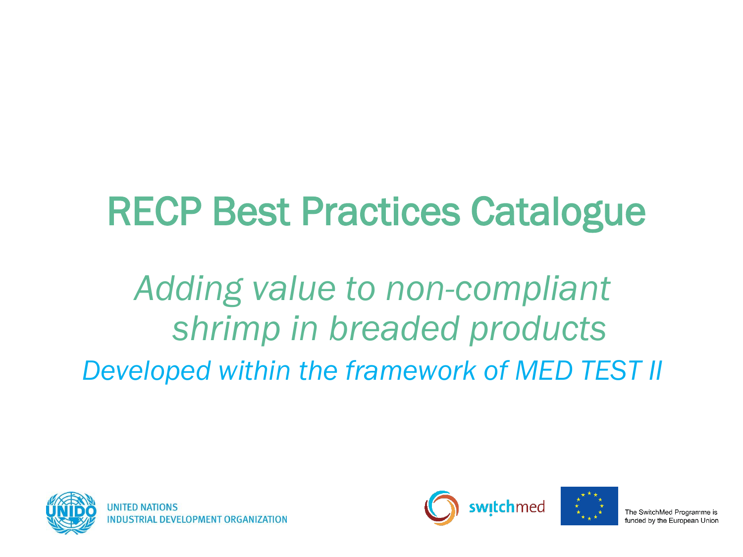# RECP Best Practices Catalogue

### *Adding value to non-compliant shrimp in breaded products Developed within the framework of MED TEST II*





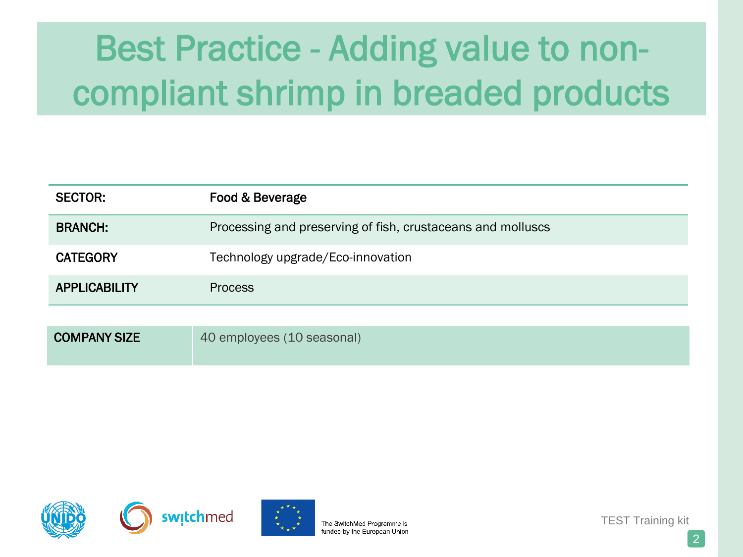| <b>SECTOR:</b>       | Food & Beverage                                             |
|----------------------|-------------------------------------------------------------|
| <b>BRANCH:</b>       | Processing and preserving of fish, crustaceans and molluscs |
| <b>CATEGORY</b>      | Technology upgrade/Eco-innovation                           |
| <b>APPLICABILITY</b> | <b>Process</b>                                              |
|                      |                                                             |
| <b>COMPANY SIZE</b>  | 40 employees (10 seasonal)                                  |







TEST Training kit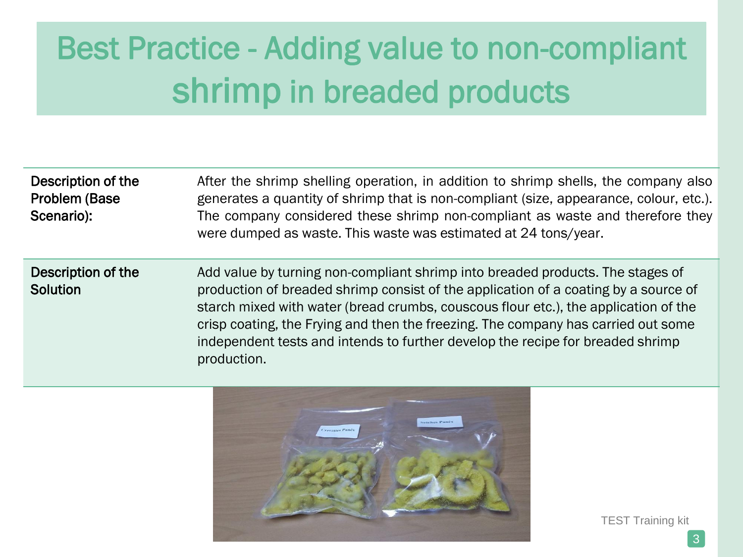| Description of the<br><b>Problem (Base)</b><br>Scenario): | After the shrimp shelling operation, in addition to shrimp shells, the company also<br>generates a quantity of shrimp that is non-compliant (size, appearance, colour, etc.).<br>The company considered these shrimp non-compliant as waste and therefore they<br>were dumped as waste. This waste was estimated at 24 tons/year.                                                                                                                  |
|-----------------------------------------------------------|----------------------------------------------------------------------------------------------------------------------------------------------------------------------------------------------------------------------------------------------------------------------------------------------------------------------------------------------------------------------------------------------------------------------------------------------------|
| Description of the<br><b>Solution</b>                     | Add value by turning non-compliant shrimp into breaded products. The stages of<br>production of breaded shrimp consist of the application of a coating by a source of<br>starch mixed with water (bread crumbs, couscous flour etc.), the application of the<br>crisp coating, the Frying and then the freezing. The company has carried out some<br>independent tests and intends to further develop the recipe for breaded shrimp<br>production. |

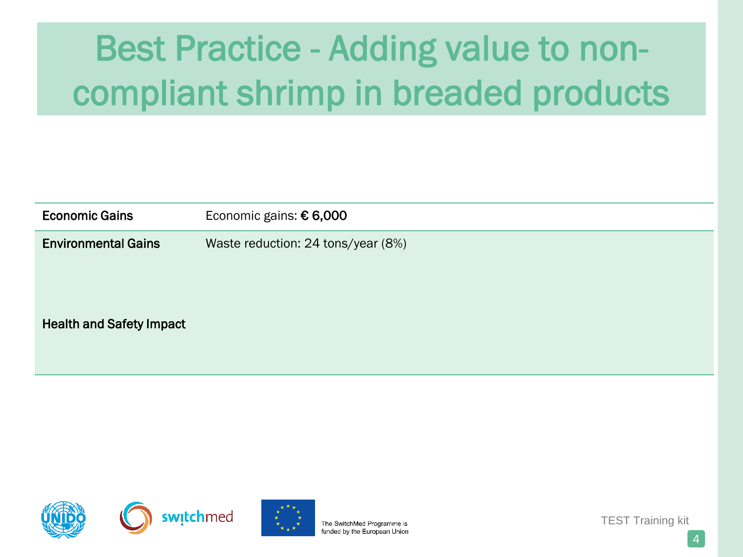| <b>Economic Gains</b>           | Economic gains: € 6,000            |
|---------------------------------|------------------------------------|
| <b>Environmental Gains</b>      | Waste reduction: 24 tons/year (8%) |
| <b>Health and Safety Impact</b> |                                    |







The SwitchMed Programme is funded by the European Union TEST Training kit